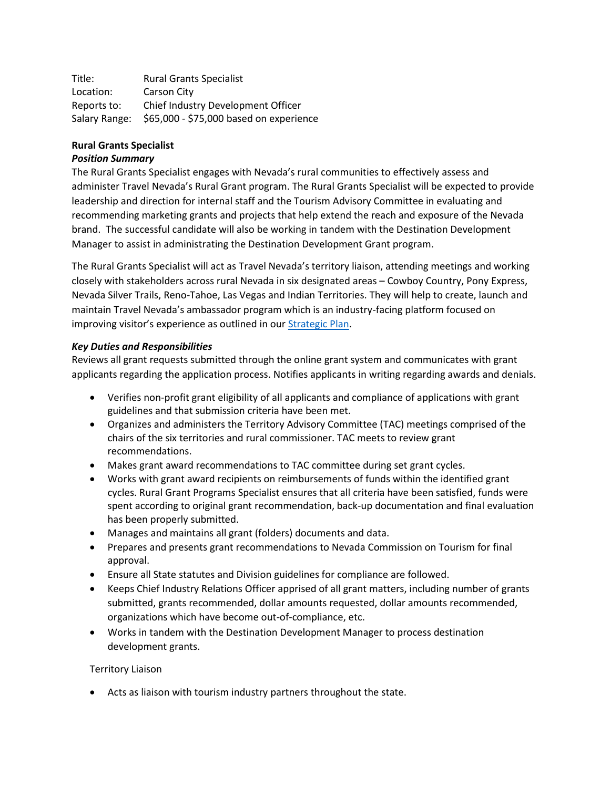Title: Rural Grants Specialist Location: Carson City Reports to: Chief Industry Development Officer Salary Range: \$65,000 - \$75,000 based on experience

# **Rural Grants Specialist**

## *Position Summary*

The Rural Grants Specialist engages with Nevada's rural communities to effectively assess and administer Travel Nevada's Rural Grant program. The Rural Grants Specialist will be expected to provide leadership and direction for internal staff and the Tourism Advisory Committee in evaluating and recommending marketing grants and projects that help extend the reach and exposure of the Nevada brand. The successful candidate will also be working in tandem with the Destination Development Manager to assist in administrating the Destination Development Grant program.

The Rural Grants Specialist will act as Travel Nevada's territory liaison, attending meetings and working closely with stakeholders across rural Nevada in six designated areas – Cowboy Country, Pony Express, Nevada Silver Trails, Reno-Tahoe, Las Vegas and Indian Territories. They will help to create, launch and maintain Travel Nevada's ambassador program which is an industry-facing platform focused on improving visitor's experience as outlined in our [Strategic](https://travelnevada.biz/wp-content/uploads/Travel-Nevada-FY22-Strategic-Plan-06-15-21.pdf) Plan.

## *Key Duties and Responsibilities*

Reviews all grant requests submitted through the online grant system and communicates with grant applicants regarding the application process. Notifies applicants in writing regarding awards and denials.

- Verifies non-profit grant eligibility of all applicants and compliance of applications with grant guidelines and that submission criteria have been met.
- Organizes and administers the Territory Advisory Committee (TAC) meetings comprised of the chairs of the six territories and rural commissioner. TAC meets to review grant recommendations.
- Makes grant award recommendations to TAC committee during set grant cycles.
- Works with grant award recipients on reimbursements of funds within the identified grant cycles. Rural Grant Programs Specialist ensures that all criteria have been satisfied, funds were spent according to original grant recommendation, back-up documentation and final evaluation has been properly submitted.
- Manages and maintains all grant (folders) documents and data.
- Prepares and presents grant recommendations to Nevada Commission on Tourism for final approval.
- Ensure all State statutes and Division guidelines for compliance are followed.
- Keeps Chief Industry Relations Officer apprised of all grant matters, including number of grants submitted, grants recommended, dollar amounts requested, dollar amounts recommended, organizations which have become out-of-compliance, etc.
- Works in tandem with the Destination Development Manager to process destination development grants.

## Territory Liaison

• Acts as liaison with tourism industry partners throughout the state.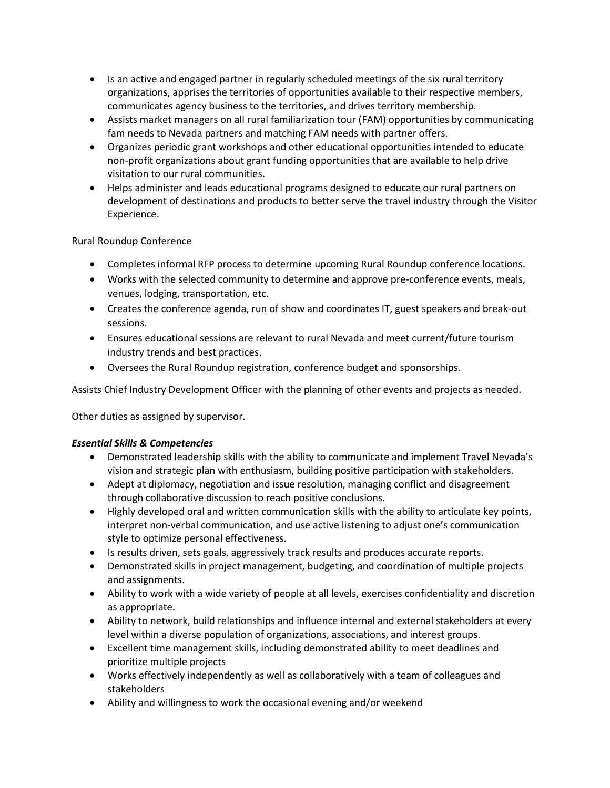- Is an active and engaged partner in regularly scheduled meetings of the six rural territory organizations, apprises the territories of opportunities available to their respective members, communicates agency business to the territories, and drives territory membership.
- Assists market managers on all rural familiarization tour (FAM) opportunities by communicating fam needs to Nevada partners and matching FAM needs with partner offers.
- Organizes periodic grant workshops and other educational opportunities intended to educate non-profit organizations about grant funding opportunities that are available to help drive visitation to our rural communities.
- Helps administer and leads educational programs designed to educate our rural partners on development of destinations and products to better serve the travel industry through the Visitor Experience.

## Rural Roundup Conference

- Completes informal RFP process to determine upcoming Rural Roundup conference locations.
- Works with the selected community to determine and approve pre-conference events, meals, venues, lodging, transportation, etc.
- Creates the conference agenda, run of show and coordinates IT, guest speakers and break-out sessions.
- Ensures educational sessions are relevant to rural Nevada and meet current/future tourism industry trends and best practices.
- Oversees the Rural Roundup registration, conference budget and sponsorships.

Assists Chief Industry Development Officer with the planning of other events and projects as needed.

Other duties as assigned by supervisor.

#### *Essential Skills & Competencies*

- Demonstrated leadership skills with the ability to communicate and implement Travel Nevada's vision and strategic plan with enthusiasm, building positive participation with stakeholders.
- Adept at diplomacy, negotiation and issue resolution, managing conflict and disagreement through collaborative discussion to reach positive conclusions.
- Highly developed oral and written communication skills with the ability to articulate key points, interpret non-verbal communication, and use active listening to adjust one's communication style to optimize personal effectiveness.
- Is results driven, sets goals, aggressively track results and produces accurate reports.
- Demonstrated skills in project management, budgeting, and coordination of multiple projects and assignments.
- Ability to work with a wide variety of people at all levels, exercises confidentiality and discretion as appropriate.
- Ability to network, build relationships and influence internal and external stakeholders at every level within a diverse population of organizations, associations, and interest groups.
- Excellent time management skills, including demonstrated ability to meet deadlines and prioritize multiple projects
- Works effectively independently as well as collaboratively with a team of colleagues and stakeholders
- Ability and willingness to work the occasional evening and/or weekend